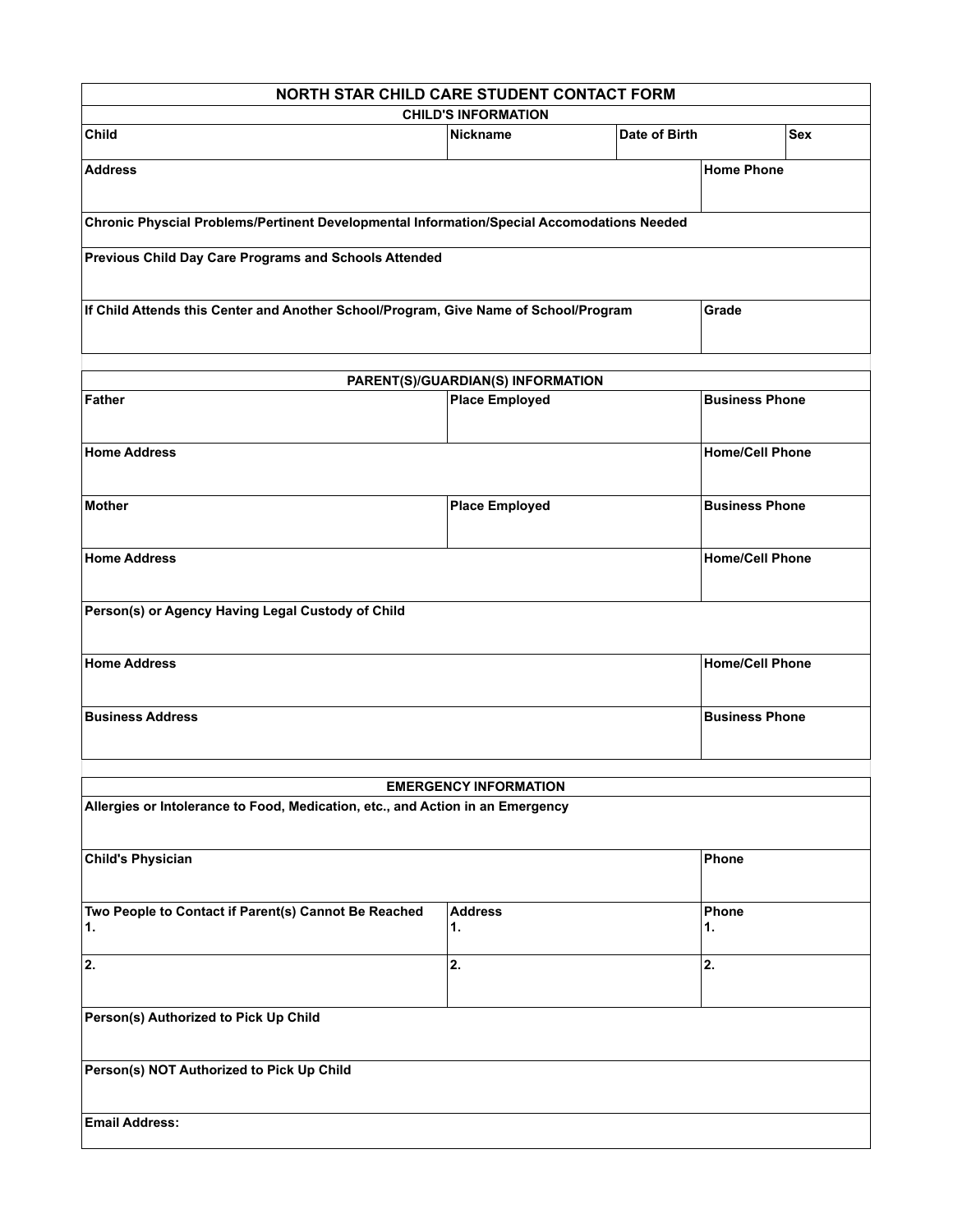| NORTH STAR CHILD CARE STUDENT CONTACT FORM                                                                     |                                                |               |                        |                       |  |
|----------------------------------------------------------------------------------------------------------------|------------------------------------------------|---------------|------------------------|-----------------------|--|
| <b>CHILD'S INFORMATION</b>                                                                                     |                                                |               |                        |                       |  |
| Child                                                                                                          | <b>Nickname</b>                                | Date of Birth |                        | <b>Sex</b>            |  |
| <b>Address</b>                                                                                                 |                                                |               | <b>Home Phone</b>      |                       |  |
| Chronic Physcial Problems/Pertinent Developmental Information/Special Accomodations Needed                     |                                                |               |                        |                       |  |
| Previous Child Day Care Programs and Schools Attended                                                          |                                                |               |                        |                       |  |
| If Child Attends this Center and Another School/Program, Give Name of School/Program                           |                                                |               | Grade                  |                       |  |
| PARENT(S)/GUARDIAN(S) INFORMATION                                                                              |                                                |               |                        |                       |  |
| <b>Father</b>                                                                                                  | <b>Place Employed</b><br><b>Business Phone</b> |               |                        |                       |  |
| <b>Home/Cell Phone</b><br><b>Home Address</b>                                                                  |                                                |               |                        |                       |  |
| <b>Mother</b>                                                                                                  | <b>Place Employed</b>                          |               |                        | <b>Business Phone</b> |  |
| <b>Home Address</b>                                                                                            |                                                |               | <b>Home/Cell Phone</b> |                       |  |
| Person(s) or Agency Having Legal Custody of Child                                                              |                                                |               |                        |                       |  |
| <b>Home Address</b><br><b>Home/Cell Phone</b>                                                                  |                                                |               |                        |                       |  |
| <b>Business Address</b>                                                                                        |                                                |               | <b>Business Phone</b>  |                       |  |
|                                                                                                                |                                                |               |                        |                       |  |
| <b>EMERGENCY INFORMATION</b><br>Allergies or Intolerance to Food, Medication, etc., and Action in an Emergency |                                                |               |                        |                       |  |
|                                                                                                                |                                                |               |                        |                       |  |
| <b>Child's Physician</b>                                                                                       |                                                |               | Phone                  |                       |  |
| Two People to Contact if Parent(s) Cannot Be Reached<br>1.                                                     | Phone<br><b>Address</b><br>1.<br>1.            |               |                        |                       |  |
| 2.                                                                                                             | 2.                                             |               | 2.                     |                       |  |
| Person(s) Authorized to Pick Up Child                                                                          |                                                |               |                        |                       |  |
| Person(s) NOT Authorized to Pick Up Child                                                                      |                                                |               |                        |                       |  |
| <b>Email Address:</b>                                                                                          |                                                |               |                        |                       |  |